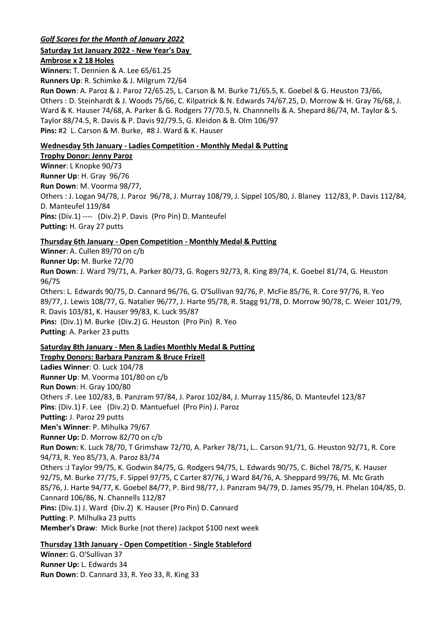## *Golf Scores for the Month of January 2022*

#### **Saturday 1st January 2022 - New Year's Day**

**Ambrose x 2 18 Holes**

**Winners:** T. Dennien & A. Lee 65/61.25 **Runners Up**: R. Schimke & J. Milgrum 72/64 **Run Down**: A. Paroz & J. Paroz 72/65.25, L. Carson & M. Burke 71/65.5, K. Goebel & G. Heuston 73/66, Others : D. Steinhardt & J. Woods 75/66, C. Kilpatrick & N. Edwards 74/67.25, D. Morrow & H. Gray 76/68, J. Ward & K. Hauser 74/68, A. Parker & G. Rodgers 77/70.5, N. Channnells & A. Shepard 86/74, M. Taylor & S. Taylor 88/74.5, R. Davis & P. Davis 92/79.5, G. Kleidon & B. Olm 106/97 **Pins:** #2 L. Carson & M. Burke, #8 J. Ward & K. Hauser

# **Wednesday 5th January - Ladies Competition - Monthly Medal & Putting**

**Trophy Donor: Jenny Paroz Winner**: L Knopke 90/73 **Runner Up**: H. Gray 96/76 **Run Down**: M. Voorma 98/77, Others : J. Logan 94/78, J. Paroz 96/78, J. Murray 108/79, J. Sippel 105/80, J. Blaney 112/83, P. Davis 112/84, D. Manteufel 119/84 **Pins:** (Div.1) ---- (Div.2) P. Davis (Pro Pin) D. Manteufel **Putting:** H. Gray 27 putts

# **Thursday 6th January - Open Competition - Monthly Medal & Putting**

**Winner**: A. Cullen 89/70 on c/b **Runner Up:** M. Burke 72/70 **Run Down**: J. Ward 79/71, A. Parker 80/73, G. Rogers 92/73, R. King 89/74, K. Goebel 81/74, G. Heuston 96/75 Others: L. Edwards 90/75, D. Cannard 96/76, G. O'Sullivan 92/76, P. McFie 85/76, R. Core 97/76, R. Yeo 89/77, J. Lewis 108/77, G. Natalier 96/77, J. Harte 95/78, R. Stagg 91/78, D. Morrow 90/78, C. Weier 101/79, R. Davis 103/81, K. Hauser 99/83, K. Luck 95/87 **Pins:** (Div.1) M. Burke (Div.2) G. Heuston (Pro Pin) R. Yeo **Putting**: A. Parker 23 putts

## **Saturday 8th January - Men & Ladies Monthly Medal & Putting**

**Trophy Donors: Barbara Panzram & Bruce Frizell Ladies Winner**: O. Luck 104/78 **Runner Up**: M. Voorma 101/80 on c/b **Run Down**: H. Gray 100/80 Others :F. Lee 102/83, B. Panzram 97/84, J. Paroz 102/84, J. Murray 115/86, D. Manteufel 123/87 **Pins**: (Div.1) F. Lee (Div.2) D. Mantuefuel (Pro Pin) J. Paroz **Putting:** J. Paroz 29 putts **Men's Winner**: P. Mihulka 79/67 **Runner Up:** D. Morrow 82/70 on c/b **Run Down:** K. Luck 78/70, T Grimshaw 72/70, A. Parker 78/71, L.. Carson 91/71, G. Heuston 92/71, R. Core 94/73, R. Yeo 85/73, A. Paroz 83/74 Others :J Taylor 99/75, K. Godwin 84/75, G. Rodgers 94/75, L. Edwards 90/75, C. Bichel 78/75, K. Hauser 92/75, M. Burke 77/75, F. Sippel 97/75, C Carter 87/76, J Ward 84/76, A. Sheppard 99/76, M. Mc Grath 85/76, J. Harte 94/77, K. Goebel 84/77, P. Bird 98/77, J. Panzram 94/79, D. James 95/79, H. Phelan 104/85, D. Cannard 106/86, N. Channells 112/87 **Pins:** (Div.1) J. Ward (Div.2) K. Hauser (Pro Pin) D. Cannard **Putting**: P. Milhulka 23 putts **Member's Draw**: Mick Burke (not there) Jackpot \$100 next week

## **Thursday 13th January - Open Competition - Single Stableford**

**Winner:** G. O'Sullivan 37 **Runner Up:** L. Edwards 34 **Run Down**: D. Cannard 33, R. Yeo 33, R. King 33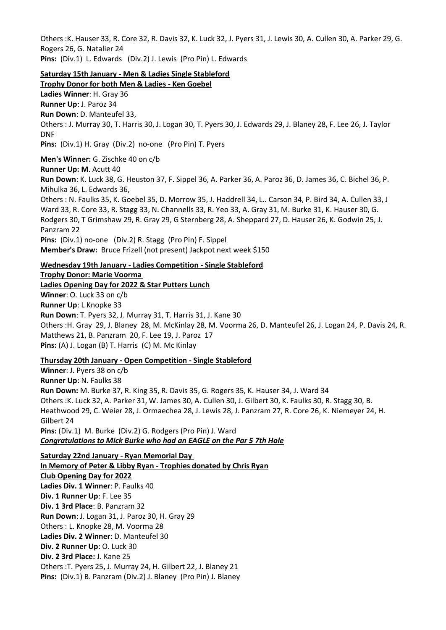Others :K. Hauser 33, R. Core 32, R. Davis 32, K. Luck 32, J. Pyers 31, J. Lewis 30, A. Cullen 30, A. Parker 29, G. Rogers 26, G. Natalier 24 **Pins:** (Div.1) L. Edwards (Div.2) J. Lewis (Pro Pin) L. Edwards

**Saturday 15th January - Men & Ladies Single Stableford**

**Trophy Donor for both Men & Ladies - Ken Goebel Ladies Winner**: H. Gray 36 **Runner Up**: J. Paroz 34 **Run Down**: D. Manteufel 33, Others : J. Murray 30, T. Harris 30, J. Logan 30, T. Pyers 30, J. Edwards 29, J. Blaney 28, F. Lee 26, J. Taylor DNF **Pins:** (Div.1) H. Gray (Div.2) no-one (Pro Pin) T. Pyers **Men's Winner:** G. Zischke 40 on c/b **Runner Up: M**. Acutt 40 **Run Down**: K. Luck 38, G. Heuston 37, F. Sippel 36, A. Parker 36, A. Paroz 36, D. James 36, C. Bichel 36, P. Mihulka 36, L. Edwards 36, Others : N. Faulks 35, K. Goebel 35, D. Morrow 35, J. Haddrell 34, L.. Carson 34, P. Bird 34, A. Cullen 33, J Ward 33, R. Core 33, R. Stagg 33, N. Channells 33, R. Yeo 33, A. Gray 31, M. Burke 31, K. Hauser 30, G. Rodgers 30, T Grimshaw 29, R. Gray 29, G Sternberg 28, A. Sheppard 27, D. Hauser 26, K. Godwin 25, J. Panzram 22 **Pins:** (Div.1) no-one (Div.2) R. Stagg (Pro Pin) F. Sippel **Member's Draw:** Bruce Frizell (not present) Jackpot next week \$150

**Wednesday 19th January - Ladies Competition - Single Stableford Trophy Donor: Marie Voorma Ladies Opening Day for 2022 & Star Putters Lunch Winner**: O. Luck 33 on c/b

**Runner Up**: L Knopke 33 **Run Down**: T. Pyers 32, J. Murray 31, T. Harris 31, J. Kane 30 Others :H. Gray 29, J. Blaney 28, M. McKinlay 28, M. Voorma 26, D. Manteufel 26, J. Logan 24, P. Davis 24, R. Matthews 21, B. Panzram 20, F. Lee 19, J. Paroz 17 **Pins:** (A) J. Logan (B) T. Harris (C) M. Mc Kinlay

#### **Thursday 20th January - Open Competition - Single Stableford**

**Winner**: J. Pyers 38 on c/b **Runner Up**: N. Faulks 38 **Run Down:** M. Burke 37, R. King 35, R. Davis 35, G. Rogers 35, K. Hauser 34, J. Ward 34 Others :K. Luck 32, A. Parker 31, W. James 30, A. Cullen 30, J. Gilbert 30, K. Faulks 30, R. Stagg 30, B. Heathwood 29, C. Weier 28, J. Ormaechea 28, J. Lewis 28, J. Panzram 27, R. Core 26, K. Niemeyer 24, H. Gilbert 24 **Pins:** (Div.1) M. Burke (Div.2) G. Rodgers (Pro Pin) J. Ward *Congratulations to Mick Burke who had an EAGLE on the Par 5 7th Hole*

**Saturday 22nd January - Ryan Memorial Day In Memory of Peter & Libby Ryan - Trophies donated by Chris Ryan Club Opening Day for 2022 Ladies Div. 1 Winner**: P. Faulks 40 **Div. 1 Runner Up**: F. Lee 35 **Div. 1 3rd Place**: B. Panzram 32 **Run Down**: J. Logan 31, J. Paroz 30, H. Gray 29 Others : L. Knopke 28, M. Voorma 28 **Ladies Div. 2 Winner**: D. Manteufel 30 **Div. 2 Runner Up**: O. Luck 30 **Div. 2 3rd Place:** J. Kane 25 Others :T. Pyers 25, J. Murray 24, H. Gilbert 22, J. Blaney 21 **Pins:** (Div.1) B. Panzram (Div.2) J. Blaney (Pro Pin) J. Blaney